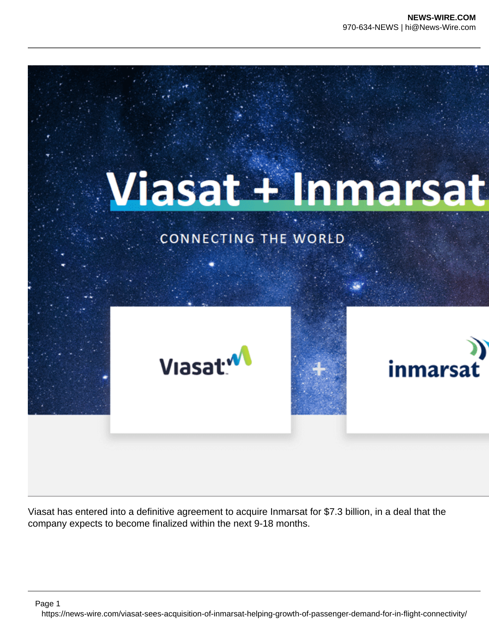

Viasat has entered into a definitive agreement to acquire Inmarsat for \$7.3 billion, in a deal that the company expects to become finalized within the next 9-18 months.

Page 1

https://news-wire.com/viasat-sees-acquisition-of-inmarsat-helping-growth-of-passenger-demand-for-in-flight-connectivity/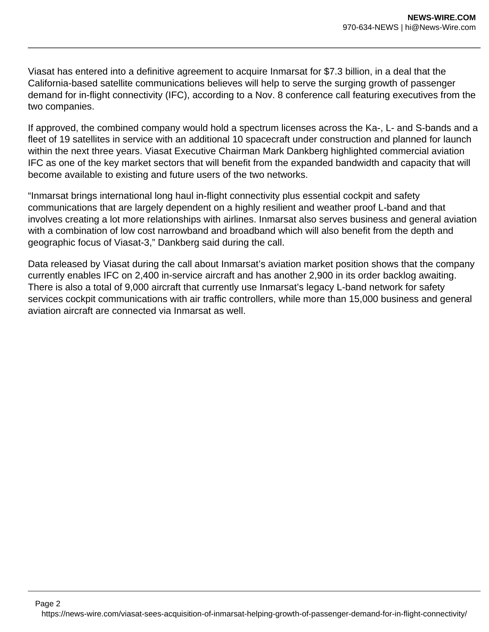Viasat has entered into a definitive agreement to acquire Inmarsat for \$7.3 billion, in a deal that the California-based satellite communications believes will help to serve the surging growth of passenger demand for in-flight connectivity (IFC), according to a Nov. 8 conference call featuring executives from the two companies.

If approved, the combined company would hold a spectrum licenses across the Ka-, L- and S-bands and a fleet of 19 satellites in service with an additional 10 spacecraft under construction and planned for launch within the next three years. Viasat Executive Chairman Mark Dankberg highlighted commercial aviation IFC as one of the key market sectors that will benefit from the expanded bandwidth and capacity that will become available to existing and future users of the two networks.

"Inmarsat brings international long haul in-flight connectivity plus essential cockpit and safety communications that are largely dependent on a highly resilient and weather proof L-band and that involves creating a lot more relationships with airlines. Inmarsat also serves business and general aviation with a combination of low cost narrowband and broadband which will also benefit from the depth and geographic focus of Viasat-3," Dankberg said during the call.

Data released by Viasat during the call about Inmarsat's aviation market position shows that the company currently enables IFC on 2,400 in-service aircraft and has another 2,900 in its order backlog awaiting. There is also a total of 9,000 aircraft that currently use Inmarsat's legacy L-band network for safety services cockpit communications with air traffic controllers, while more than 15,000 business and general aviation aircraft are connected via Inmarsat as well.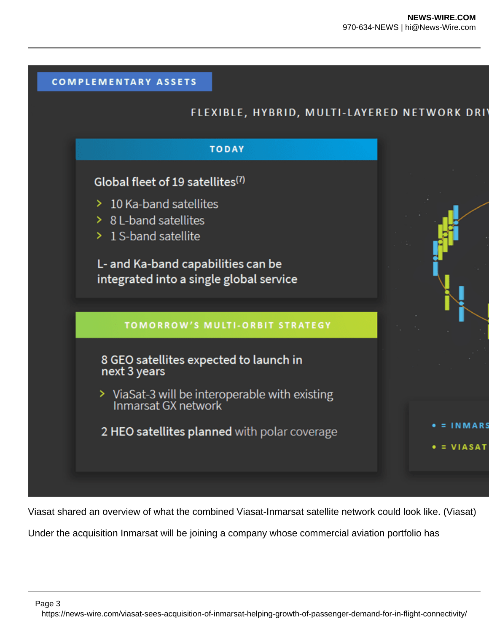

Viasat shared an overview of what the combined Viasat-Inmarsat satellite network could look like. (Viasat)

Under the acquisition Inmarsat will be joining a company whose commercial aviation portfolio has

Page 3

https://news-wire.com/viasat-sees-acquisition-of-inmarsat-helping-growth-of-passenger-demand-for-in-flight-connectivity/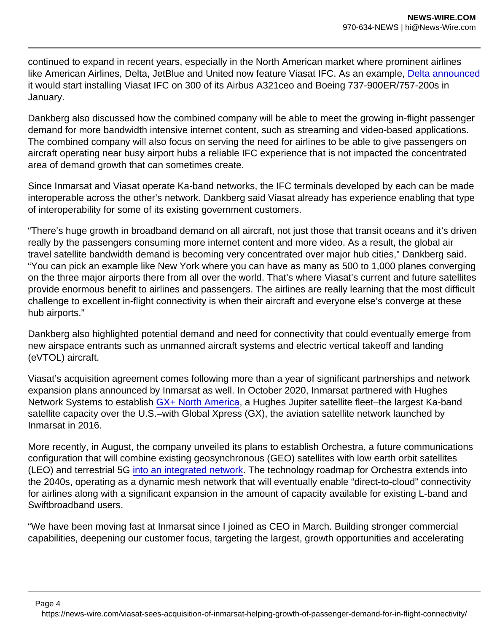continued to expand in recent years, especially in the North American market where prominent airlines like American Airlines, Delta, JetBlue and United now feature Viasat IFC. As an example, [Delta announced](https://www.aviationtoday.com/2021/01/05/delta-connect-300-airbus-boeing-jets-viasat-flight-connectivity/) it would start installing Viasat IFC on 300 of its Airbus A321ceo and Boeing 737-900ER/757-200s in January.

Dankberg also discussed how the combined company will be able to meet the growing in-flight passenger demand for more bandwidth intensive internet content, such as streaming and video-based applications. The combined company will also focus on serving the need for airlines to be able to give passengers on aircraft operating near busy airport hubs a reliable IFC experience that is not impacted the concentrated area of demand growth that can sometimes create.

Since Inmarsat and Viasat operate Ka-band networks, the IFC terminals developed by each can be made interoperable across the other's network. Dankberg said Viasat already has experience enabling that type of interoperability for some of its existing government customers.

"There's huge growth in broadband demand on all aircraft, not just those that transit oceans and it's driven really by the passengers consuming more internet content and more video. As a result, the global air travel satellite bandwidth demand is becoming very concentrated over major hub cities," Dankberg said. "You can pick an example like New York where you can have as many as 500 to 1,000 planes converging on the three major airports there from all over the world. That's where Viasat's current and future satellites provide enormous benefit to airlines and passengers. The airlines are really learning that the most difficult challenge to excellent in-flight connectivity is when their aircraft and everyone else's converge at these hub airports."

Dankberg also highlighted potential demand and need for connectivity that could eventually emerge from new airspace entrants such as unmanned aircraft systems and electric vertical takeoff and landing (eVTOL) aircraft.

Viasat's acquisition agreement comes following more than a year of significant partnerships and network expansion plans announced by Inmarsat as well. In October 2020, Inmarsat partnered with Hughes Network Systems to establish [GX+ North America](https://www.aviationtoday.com/2020/10/20/hughes-inmarsat-collaborate-gx-north-america-flight-connectivity/), a Hughes Jupiter satellite fleet–the largest Ka-band satellite capacity over the U.S.–with Global Xpress (GX), the aviation satellite network launched by Inmarsat in 2016.

More recently, in August, the company unveiled its plans to establish Orchestra, a future communications configuration that will combine existing geosynchronous (GEO) satellites with low earth orbit satellites (LEO) and terrestrial 5G [into an integrated network](https://www.aviationtoday.com/2021/08/31/inmarsat-cto-talks-impact-future-geo-leo-5g-network-aviation/). The technology roadmap for Orchestra extends into the 2040s, operating as a dynamic mesh network that will eventually enable "direct-to-cloud" connectivity for airlines along with a significant expansion in the amount of capacity available for existing L-band and Swiftbroadband users.

"We have been moving fast at Inmarsat since I joined as CEO in March. Building stronger commercial capabilities, deepening our customer focus, targeting the largest, growth opportunities and accelerating

Page 4

https://news-wire.com/viasat-sees-acquisition-of-inmarsat-helping-growth-of-passenger-demand-for-in-flight-connectivity/